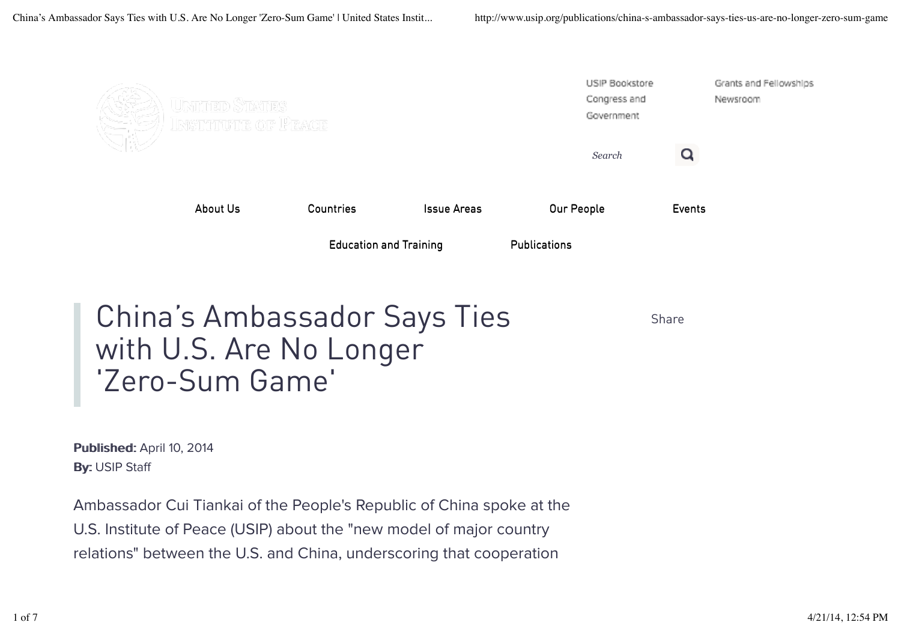

Published: April 10, 2014 By: USIP Staff

Ambassador Cui Tiankai of the People's Republic of China spoke at the U.S. Institute of Peace (USIP) about the "new model of major country relations" between the U.S. and China, underscoring that cooperation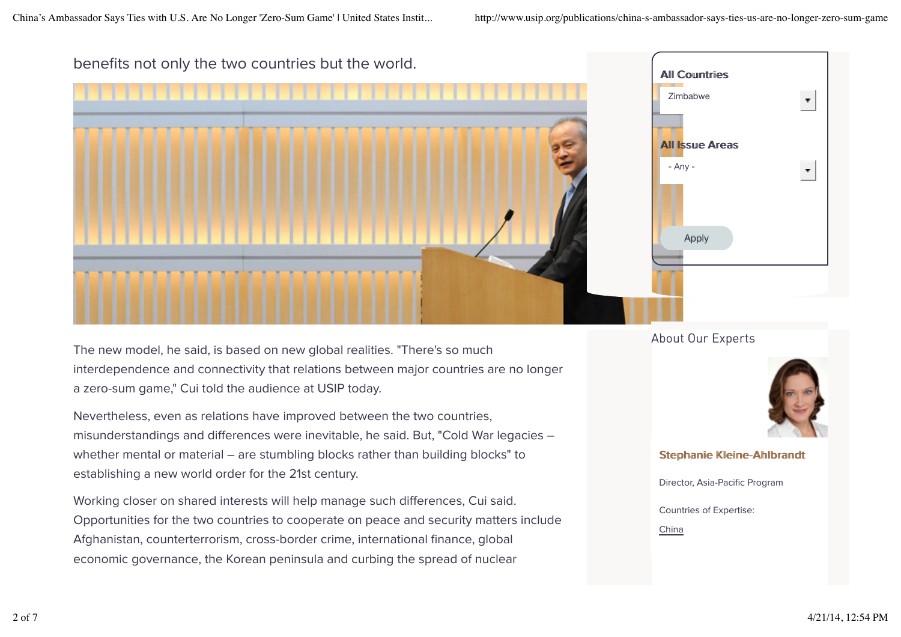

The new model, he said, is based on new global realities. "There's so much interdependence and connectivity that relations between major countries are no longer a zero-sum game," Cui told the audience at USIP today.

Nevertheless, even as relations have improved between the two countries, misunderstandings and differences were inevitable, he said. But, "Cold War legacies whether mental or material - are stumbling blocks rather than building blocks" to establishing a new world order for the 21st century.

Working closer on shared interests will help manage such differences, Cui said. Opportunities for the two countries to cooperate on peace and security matters include Afghanistan, counterterrorism, cross-border crime, international finance, global economic governance, the Korean peninsula and curbing the spread of nuclear

About Our Experts



**Stephanie Kleine-Ahlbrandt** 

Director, Asia-Pacific Program

Countries of Expertise:

China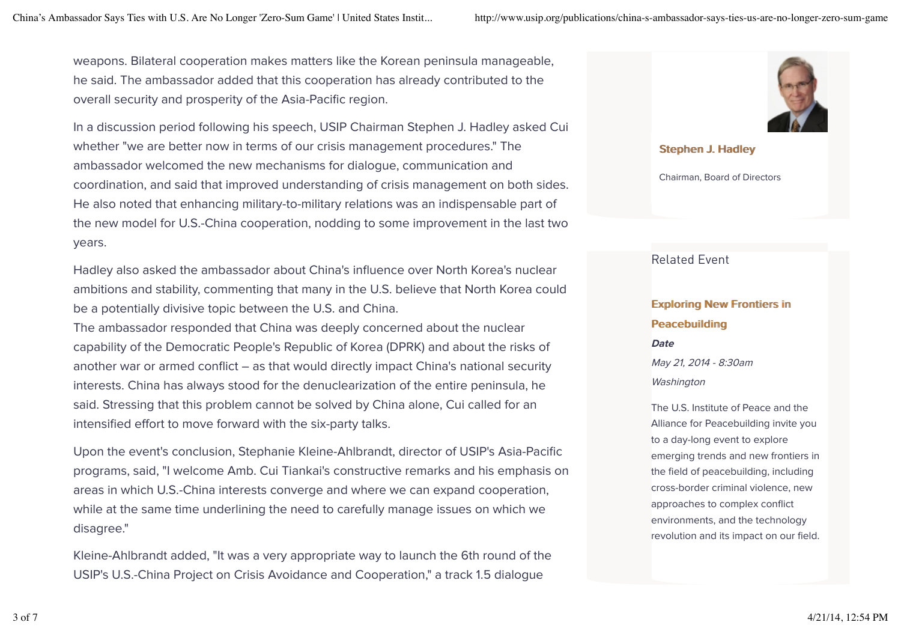weapons. Bilateral cooperation makes matters like the Korean peninsula manageable, he said. The ambassador added that this cooperation has already contributed to the overall security and prosperity of the Asia-Pacific region.

In a discussion period following his speech, USIP Chairman Stephen J. Hadley asked Cui whether "we are better now in terms of our crisis management procedures." The ambassador welcomed the new mechanisms for dialogue, communication and coordination, and said that improved understanding of crisis management on both sides. He also noted that enhancing military-to-military relations was an indispensable part of the new model for U.S.-China cooperation, nodding to some improvement in the last two years.

Hadley also asked the ambassador about China's influence over North Korea's nuclear ambitions and stability, commenting that many in the U.S. believe that North Korea could be a potentially divisive topic between the U.S. and China.

The ambassador responded that China was deeply concerned about the nuclear capability of the Democratic People's Republic of Korea (DPRK) and about the risks of another war or armed conflict – as that would directly impact China's national security interests. China has always stood for the denuclearization of the entire peninsula, he said. Stressing that this problem cannot be solved by China alone, Cui called for an intensified effort to move forward with the six-party talks.

Upon the event's conclusion, Stephanie Kleine-Ahlbrandt, director of USIP's Asia-Pacific programs, said, "I welcome Amb. Cui Tiankai's constructive remarks and his emphasis on areas in which U.S.-China interests converge and where we can expand cooperation, while at the same time underlining the need to carefully manage issues on which we disagree."

Kleine-Ahlbrandt added, "It was a very appropriate way to launch the 6th round of the USIP's U.S.-China Project on Crisis Avoidance and Cooperation," a track 1.5 dialogue



Stephen J. Hadley

Chairman, Board of Directors

### Related Event

# Exploring New Frontiers in Peacebuilding **Date** May 21, 2014 - 8:30am Washington

The U.S. Institute of Peace and the Alliance for Peacebuilding invite you to a day-long event to explore emerging trends and new frontiers in the field of peacebuilding, including cross-border criminal violence, new approaches to complex conflict environments, and the technology revolution and its impact on our field.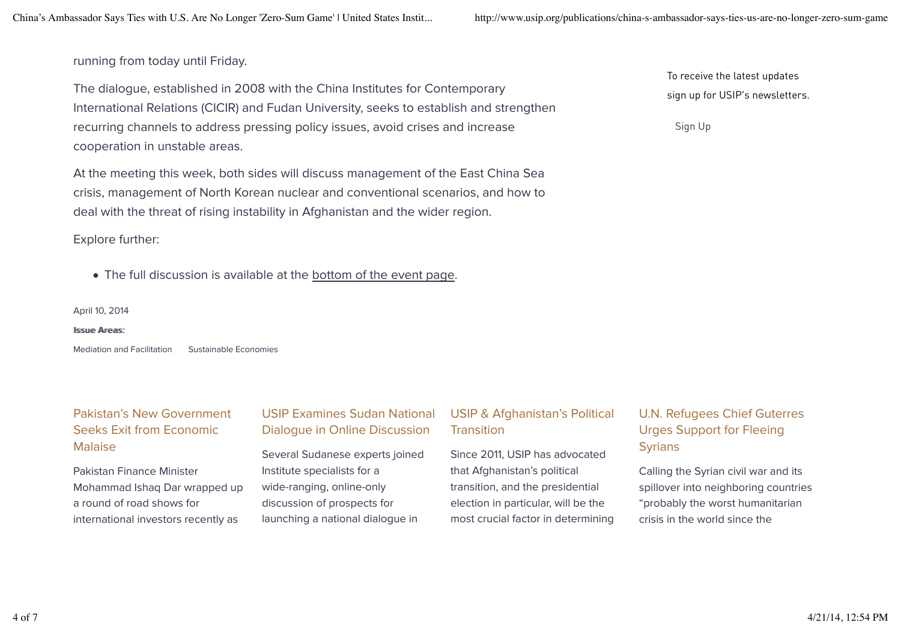#### running from today until Friday.

The dialogue, established in 2008 with the China Institutes for Contemporary International Relations (CICIR) and Fudan University, seeks to establish and strengthen recurring channels to address pressing policy issues, avoid crises and increase cooperation in unstable areas.

At the meeting this week, both sides will discuss management of the East China Sea crisis, management of North Korean nuclear and conventional scenarios, and how to deal with the threat of rising instability in Afghanistan and the wider region.

Explore further:

The full discussion is available at the bottom of the event page.

April 10, 2014

#### Issuue Areas<sup>-</sup>

Mediation and Facilitation Sustainable Economies

## Pakistan's New Government Seeks Exit from Economic Malaise

Pakistan Finance Minister Mohammad Ishaq Dar wrapped up a round of road shows for international investors recently as

### USIP Examines Sudan National Dialogue in Online Discussion

Several Sudanese experts joined Institute specialists for a wide-ranging, online-only discussion of prospects for launching a national dialogue in

### USIP & Afghanistan's Political **Transition**

Since 2011, USIP has advocated that Afghanistan's political transition, and the presidential election in particular, will be the most crucial factor in determining

### To receive the latest updates sign up for USIP's newsletters.

Sign Up

## U.N. Refugees Chief Guterres Urges Support for Fleeing **Syrians**

Calling the Syrian civil war and its spillover into neighboring countries "probably the worst humanitarian crisis in the world since the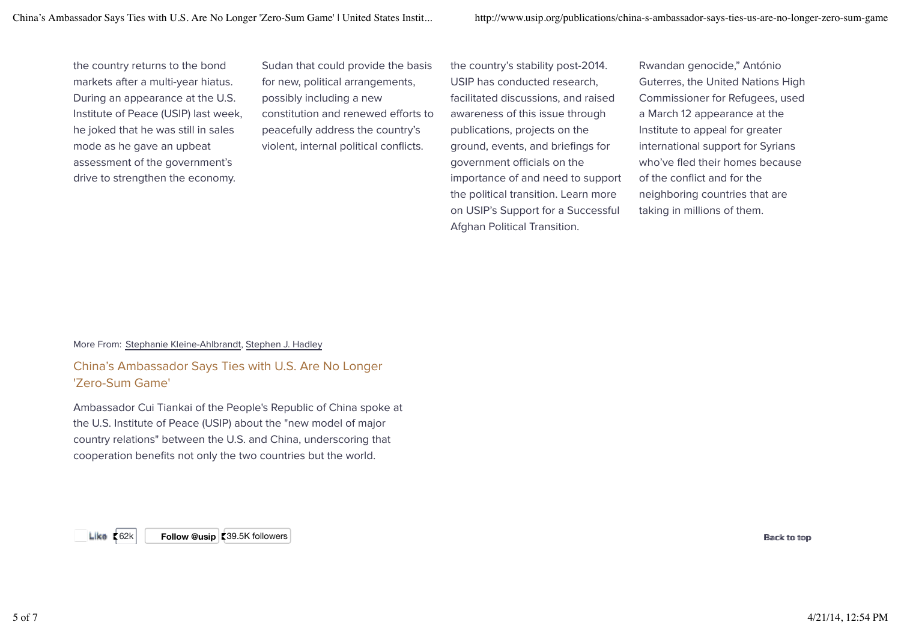the country returns to the bond markets after a multi-year hiatus. During an appearance at the U.S. Institute of Peace (USIP) last week, he joked that he was still in sales mode as he gave an upbeat assessment of the government's drive to strengthen the economy.

Sudan that could provide the basis for new, political arrangements, possibly including a new constitution and renewed efforts to peacefully address the country's violent, internal political conflicts.

the country's stability post-2014. USIP has conducted research, facilitated discussions, and raised awareness of this issue through publications, projects on the ground, events, and briefings for government officials on the importance of and need to support the political transition. Learn more on USIP's Support for a Successful Afghan Political Transition.

Rwandan genocide," António Guterres, the United Nations High Commissioner for Refugees, used a March 12 appearance at the Institute to appeal for greater international support for Syrians who've fled their homes because of the conflict and for the neighboring countries that are taking in millions of them.

#### More From: Stephanie Kleine-Ahlbrandt, Stephen J. Hadley

#### China's Ambassador Says Ties with U.S. Are No Longer 'Zero-Sum Game'

Ambassador Cui Tiankai of the People's Republic of China spoke at the U.S. Institute of Peace (USIP) about the "new model of major country relations" between the U.S. and China, underscoring that cooperation benefits not only the two countries but the world.

Like K62k **Follow @usip K39.5K followers** Research to the BBack to too the BBack to too too the BBack to too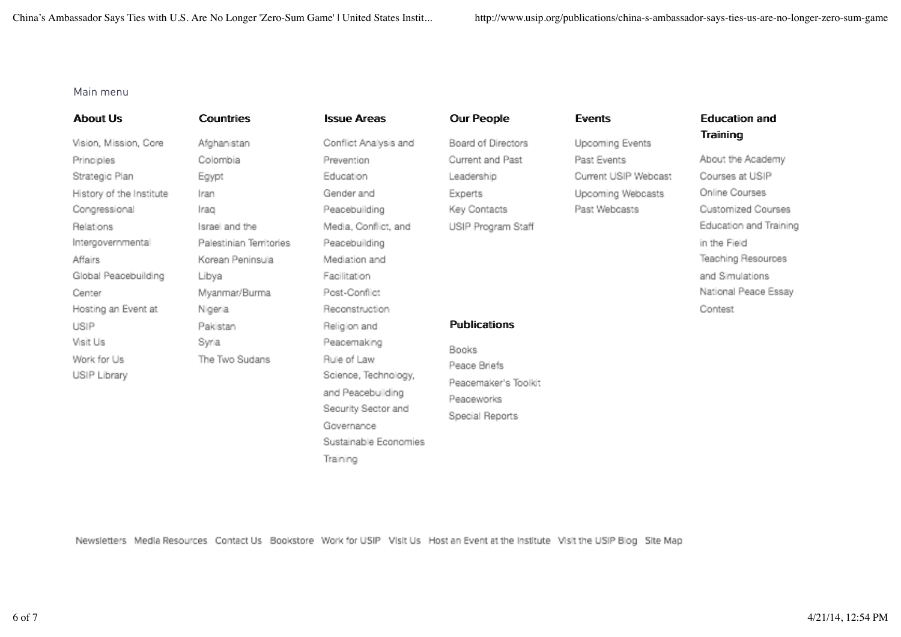#### Main menu

**About Us** 

Vision, Mission, Core Principles Strategic Plan History of the Institute Congressional Relations Intergovernmental Affairs Global Peacebuilding Center Hosting an Event at USIP Visit Us Work for Us USIP Library

**Countries** Afghanistan Colombia Egypt Iran Irao Israel and the Palestinian Territories Korean Peninsula Libya Myanmar/Burma Nigeria Pakistan Syria The Two Sudans

**Issue Areas** Conflict Analysis and Prevention Education Gender and Peacebuilding Media, Conflict, and Peacebuilding Mediation and Facilitation Post-Conflict Reconstruction Religion and Peacemaking Rule of Law Science, Technology, and Peacebuilding Security Sector and Governance Sustainable Economies Training

**Our People** Board of Directors Current and Past Leadership Experts

USIP Program Staff

Key Contacts

**Publications** 

Peace Briefs

Peaceworks

Special Reports

Peacemaker's Toolkit

**Books** 

#### **Events**

Upcoming Events Past Events Current USIP Webcast Upcoming Webcasts Past Webcasts

#### **Education and** Training

About the Academy Courses at USIP Online Courses Customized Courses Education and Training in the Field Teaching Resources and Simulations National Peace Essay Contest

Newsletters Media Resources Contact Us Bookstore Work for USIP Visit Us Host an Event at the Institute Visit the USIP Blog Site Map